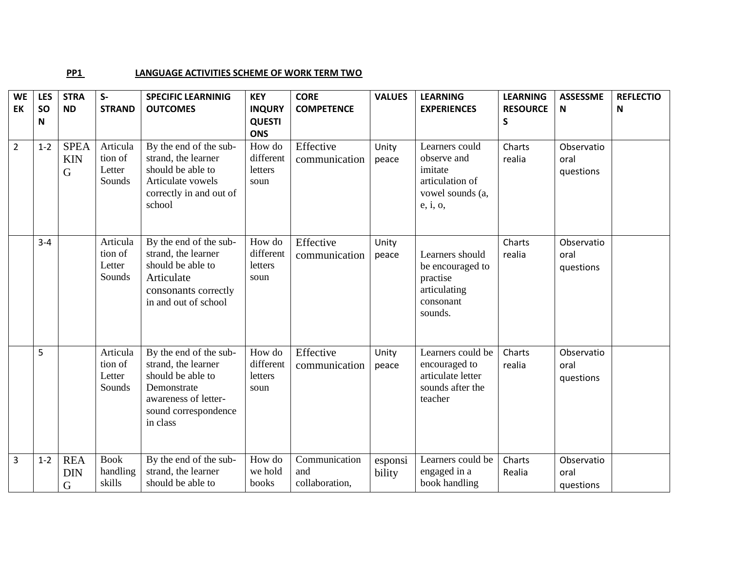## **PP1** LANGUAGE ACTIVITIES SCHEME OF WORK TERM TWO

| <b>WE</b>      | <b>LES</b>     | <b>STRA</b>                    | $S-$                                    | <b>SPECIFIC LEARNINIG</b>                                                                                                                     | <b>KEY</b>                             | <b>CORE</b>                            | <b>VALUES</b>     | <b>LEARNING</b>                                                                             | <b>LEARNING</b>            | <b>ASSESSME</b>                 | <b>REFLECTIO</b> |
|----------------|----------------|--------------------------------|-----------------------------------------|-----------------------------------------------------------------------------------------------------------------------------------------------|----------------------------------------|----------------------------------------|-------------------|---------------------------------------------------------------------------------------------|----------------------------|---------------------------------|------------------|
| EK             | <b>SO</b><br>N | <b>ND</b>                      | <b>STRAND</b>                           | <b>OUTCOMES</b>                                                                                                                               | <b>INQURY</b><br><b>QUESTI</b>         | <b>COMPETENCE</b>                      |                   | <b>EXPERIENCES</b>                                                                          | <b>RESOURCE</b><br>$\sf S$ | N                               | N                |
|                |                |                                |                                         |                                                                                                                                               | <b>ONS</b>                             |                                        |                   |                                                                                             |                            |                                 |                  |
| $\overline{2}$ | $1 - 2$        | <b>SPEA</b><br><b>KIN</b><br>G | Articula<br>tion of<br>Letter<br>Sounds | By the end of the sub-<br>strand, the learner<br>should be able to<br>Articulate vowels<br>correctly in and out of<br>school                  | How do<br>different<br>letters<br>soun | Effective<br>communication             | Unity<br>peace    | Learners could<br>observe and<br>imitate<br>articulation of<br>vowel sounds (a,<br>e, i, o, | Charts<br>realia           | Observatio<br>oral<br>questions |                  |
|                | $3 - 4$        |                                | Articula<br>tion of<br>Letter<br>Sounds | By the end of the sub-<br>strand, the learner<br>should be able to<br>Articulate<br>consonants correctly<br>in and out of school              | How do<br>different<br>letters<br>soun | Effective<br>communication             | Unity<br>peace    | Learners should<br>be encouraged to<br>practise<br>articulating<br>consonant<br>sounds.     | Charts<br>realia           | Observatio<br>oral<br>questions |                  |
|                | 5              |                                | Articula<br>tion of<br>Letter<br>Sounds | By the end of the sub-<br>strand, the learner<br>should be able to<br>Demonstrate<br>awareness of letter-<br>sound correspondence<br>in class | How do<br>different<br>letters<br>soun | Effective<br>communication             | Unity<br>peace    | Learners could be<br>encouraged to<br>articulate letter<br>sounds after the<br>teacher      | Charts<br>realia           | Observatio<br>oral<br>questions |                  |
| 3              | $1 - 2$        | <b>REA</b><br><b>DIN</b><br>G  | <b>Book</b><br>handling<br>skills       | By the end of the sub-<br>strand, the learner<br>should be able to                                                                            | How do<br>we hold<br>books             | Communication<br>and<br>collaboration, | esponsi<br>bility | Learners could be<br>engaged in a<br>book handling                                          | Charts<br>Realia           | Observatio<br>oral<br>questions |                  |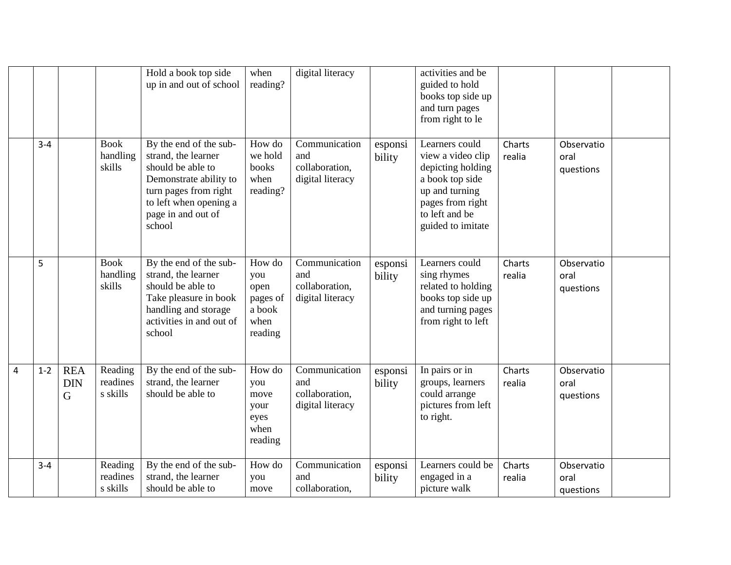|                |         |                                         |                                   | Hold a book top side<br>up in and out of school                                                                                                                                 | when<br>reading?                                               | digital literacy                                           |                   | activities and be<br>guided to hold<br>books top side up<br>and turn pages<br>from right to le                                                           |                  |                                 |  |
|----------------|---------|-----------------------------------------|-----------------------------------|---------------------------------------------------------------------------------------------------------------------------------------------------------------------------------|----------------------------------------------------------------|------------------------------------------------------------|-------------------|----------------------------------------------------------------------------------------------------------------------------------------------------------|------------------|---------------------------------|--|
|                | $3 - 4$ |                                         | <b>Book</b><br>handling<br>skills | By the end of the sub-<br>strand, the learner<br>should be able to<br>Demonstrate ability to<br>turn pages from right<br>to left when opening a<br>page in and out of<br>school | How do<br>we hold<br>books<br>when<br>reading?                 | Communication<br>and<br>collaboration,<br>digital literacy | esponsi<br>bility | Learners could<br>view a video clip<br>depicting holding<br>a book top side<br>up and turning<br>pages from right<br>to left and be<br>guided to imitate | Charts<br>realia | Observatio<br>oral<br>questions |  |
|                | 5       |                                         | <b>Book</b><br>handling<br>skills | By the end of the sub-<br>strand, the learner<br>should be able to<br>Take pleasure in book<br>handling and storage<br>activities in and out of<br>school                       | How do<br>you<br>open<br>pages of<br>a book<br>when<br>reading | Communication<br>and<br>collaboration,<br>digital literacy | esponsi<br>bility | Learners could<br>sing rhymes<br>related to holding<br>books top side up<br>and turning pages<br>from right to left                                      | Charts<br>realia | Observatio<br>oral<br>questions |  |
| $\overline{4}$ | $1 - 2$ | <b>REA</b><br><b>DIN</b><br>$\mathbf G$ | Reading<br>readines<br>s skills   | By the end of the sub-<br>strand, the learner<br>should be able to                                                                                                              | How do<br>you<br>move<br>your<br>eyes<br>when<br>reading       | Communication<br>and<br>collaboration,<br>digital literacy | esponsi<br>bility | In pairs or in<br>groups, learners<br>could arrange<br>pictures from left<br>to right.                                                                   | Charts<br>realia | Observatio<br>oral<br>questions |  |
|                | $3 - 4$ |                                         | Reading<br>readines<br>s skills   | By the end of the sub-<br>strand, the learner<br>should be able to                                                                                                              | How do<br>you<br>move                                          | Communication<br>and<br>collaboration,                     | esponsi<br>bility | Learners could be<br>engaged in a<br>picture walk                                                                                                        | Charts<br>realia | Observatio<br>oral<br>questions |  |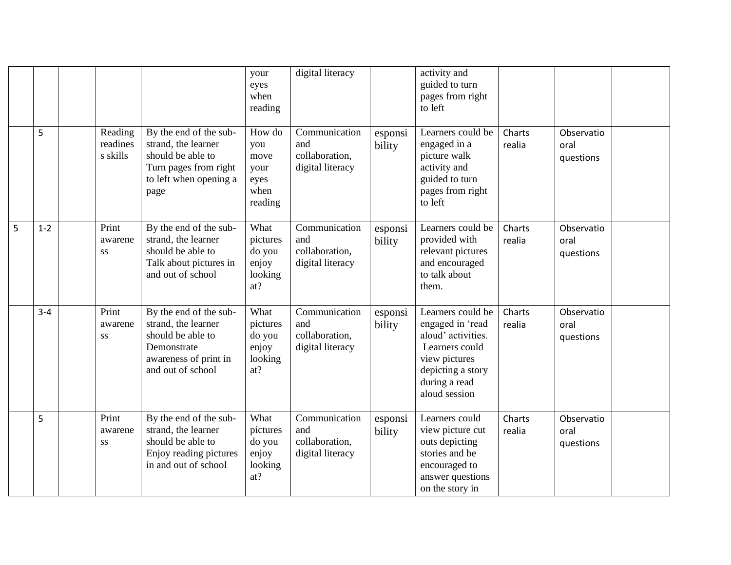|   |         |                                 |                                                                                                                                 | your<br>eyes<br>when<br>reading                          | digital literacy                                           |                   | activity and<br>guided to turn<br>pages from right<br>to left                                                                                         |                  |                                 |  |
|---|---------|---------------------------------|---------------------------------------------------------------------------------------------------------------------------------|----------------------------------------------------------|------------------------------------------------------------|-------------------|-------------------------------------------------------------------------------------------------------------------------------------------------------|------------------|---------------------------------|--|
|   | 5       | Reading<br>readines<br>s skills | By the end of the sub-<br>strand, the learner<br>should be able to<br>Turn pages from right<br>to left when opening a<br>page   | How do<br>you<br>move<br>your<br>eyes<br>when<br>reading | Communication<br>and<br>collaboration,<br>digital literacy | esponsi<br>bility | Learners could be<br>engaged in a<br>picture walk<br>activity and<br>guided to turn<br>pages from right<br>to left                                    | Charts<br>realia | Observatio<br>oral<br>questions |  |
| 5 | $1 - 2$ | Print<br>awarene<br>SS          | By the end of the sub-<br>strand, the learner<br>should be able to<br>Talk about pictures in<br>and out of school               | What<br>pictures<br>do you<br>enjoy<br>looking<br>at?    | Communication<br>and<br>collaboration,<br>digital literacy | esponsi<br>bility | Learners could be<br>provided with<br>relevant pictures<br>and encouraged<br>to talk about<br>them.                                                   | Charts<br>realia | Observatio<br>oral<br>questions |  |
|   | $3 - 4$ | Print<br>awarene<br><b>SS</b>   | By the end of the sub-<br>strand, the learner<br>should be able to<br>Demonstrate<br>awareness of print in<br>and out of school | What<br>pictures<br>do you<br>enjoy<br>looking<br>at?    | Communication<br>and<br>collaboration,<br>digital literacy | esponsi<br>bility | Learners could be<br>engaged in 'read<br>aloud' activities.<br>Learners could<br>view pictures<br>depicting a story<br>during a read<br>aloud session | Charts<br>realia | Observatio<br>oral<br>questions |  |
|   | 5       | Print<br>awarene<br><b>SS</b>   | By the end of the sub-<br>strand, the learner<br>should be able to<br>Enjoy reading pictures<br>in and out of school            | What<br>pictures<br>do you<br>enjoy<br>looking<br>at?    | Communication<br>and<br>collaboration,<br>digital literacy | esponsi<br>bility | Learners could<br>view picture cut<br>outs depicting<br>stories and be<br>encouraged to<br>answer questions<br>on the story in                        | Charts<br>realia | Observatio<br>oral<br>questions |  |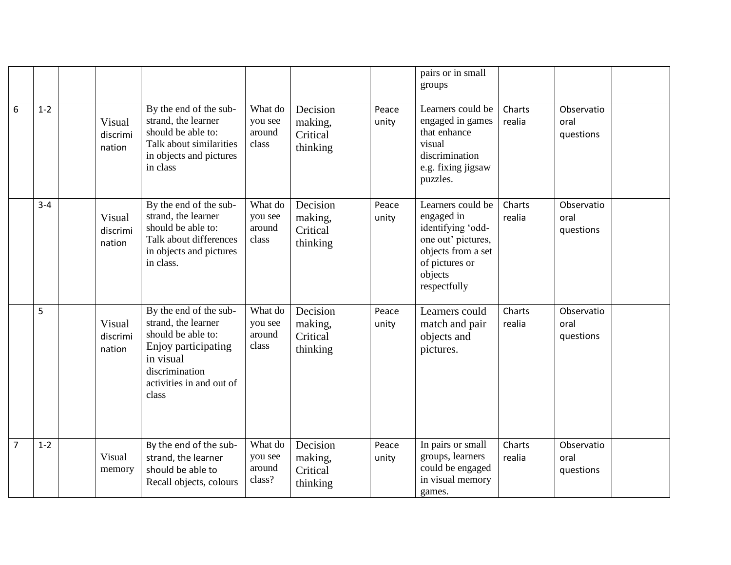|                |         |                              |                                                                                                                                                                |                                        |                                             |                | pairs or in small<br>groups                                                                                                                   |                  |                                 |  |
|----------------|---------|------------------------------|----------------------------------------------------------------------------------------------------------------------------------------------------------------|----------------------------------------|---------------------------------------------|----------------|-----------------------------------------------------------------------------------------------------------------------------------------------|------------------|---------------------------------|--|
| 6              | $1 - 2$ | Visual<br>discrimi<br>nation | By the end of the sub-<br>strand, the learner<br>should be able to:<br>Talk about similarities<br>in objects and pictures<br>in class                          | What do<br>you see<br>around<br>class  | Decision<br>making,<br>Critical<br>thinking | Peace<br>unity | Learners could be<br>engaged in games<br>that enhance<br>visual<br>discrimination<br>e.g. fixing jigsaw<br>puzzles.                           | Charts<br>realia | Observatio<br>oral<br>questions |  |
|                | $3 - 4$ | Visual<br>discrimi<br>nation | By the end of the sub-<br>strand, the learner<br>should be able to:<br>Talk about differences<br>in objects and pictures<br>in class.                          | What do<br>you see<br>around<br>class  | Decision<br>making,<br>Critical<br>thinking | Peace<br>unity | Learners could be<br>engaged in<br>identifying 'odd-<br>one out' pictures,<br>objects from a set<br>of pictures or<br>objects<br>respectfully | Charts<br>realia | Observatio<br>oral<br>questions |  |
|                | 5       | Visual<br>discrimi<br>nation | By the end of the sub-<br>strand, the learner<br>should be able to:<br>Enjoy participating<br>in visual<br>discrimination<br>activities in and out of<br>class | What do<br>you see<br>around<br>class  | Decision<br>making,<br>Critical<br>thinking | Peace<br>unity | Learners could<br>match and pair<br>objects and<br>pictures.                                                                                  | Charts<br>realia | Observatio<br>oral<br>questions |  |
| $\overline{7}$ | $1 - 2$ | Visual<br>memory             | By the end of the sub-<br>strand, the learner<br>should be able to<br>Recall objects, colours                                                                  | What do<br>you see<br>around<br>class? | Decision<br>making,<br>Critical<br>thinking | Peace<br>unity | In pairs or small<br>groups, learners<br>could be engaged<br>in visual memory<br>games.                                                       | Charts<br>realia | Observatio<br>oral<br>questions |  |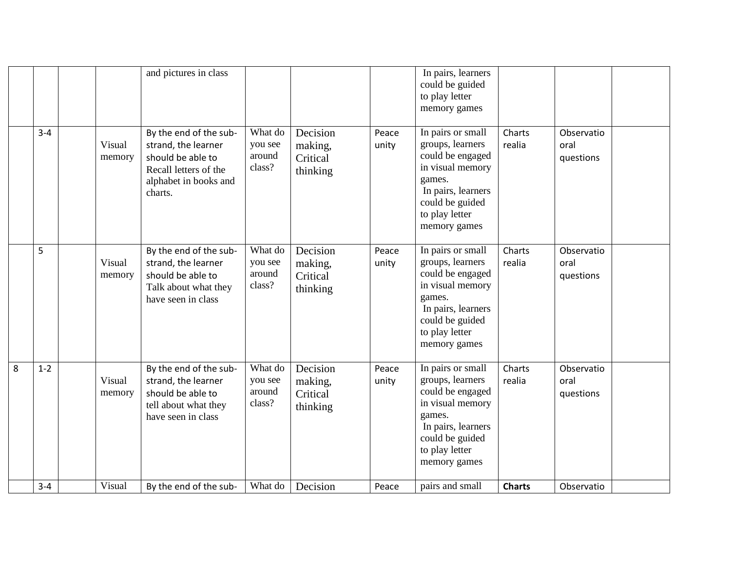|   |         |                  | and pictures in class                                                                                                           |                                        |                                             |                | In pairs, learners<br>could be guided<br>to play letter<br>memory games                                                                                            |                  |                                 |  |
|---|---------|------------------|---------------------------------------------------------------------------------------------------------------------------------|----------------------------------------|---------------------------------------------|----------------|--------------------------------------------------------------------------------------------------------------------------------------------------------------------|------------------|---------------------------------|--|
|   | $3 - 4$ | Visual<br>memory | By the end of the sub-<br>strand, the learner<br>should be able to<br>Recall letters of the<br>alphabet in books and<br>charts. | What do<br>you see<br>around<br>class? | Decision<br>making,<br>Critical<br>thinking | Peace<br>unity | In pairs or small<br>groups, learners<br>could be engaged<br>in visual memory<br>games.<br>In pairs, learners<br>could be guided<br>to play letter<br>memory games | Charts<br>realia | Observatio<br>oral<br>questions |  |
|   | 5       | Visual<br>memory | By the end of the sub-<br>strand, the learner<br>should be able to<br>Talk about what they<br>have seen in class                | What do<br>you see<br>around<br>class? | Decision<br>making,<br>Critical<br>thinking | Peace<br>unity | In pairs or small<br>groups, learners<br>could be engaged<br>in visual memory<br>games.<br>In pairs, learners<br>could be guided<br>to play letter<br>memory games | Charts<br>realia | Observatio<br>oral<br>questions |  |
| 8 | $1 - 2$ | Visual<br>memory | By the end of the sub-<br>strand, the learner<br>should be able to<br>tell about what they<br>have seen in class                | What do<br>you see<br>around<br>class? | Decision<br>making,<br>Critical<br>thinking | Peace<br>unity | In pairs or small<br>groups, learners<br>could be engaged<br>in visual memory<br>games.<br>In pairs, learners<br>could be guided<br>to play letter<br>memory games | Charts<br>realia | Observatio<br>oral<br>questions |  |
|   | $3 - 4$ | Visual           | By the end of the sub-                                                                                                          | What do                                | Decision                                    | Peace          | pairs and small                                                                                                                                                    | <b>Charts</b>    | Observatio                      |  |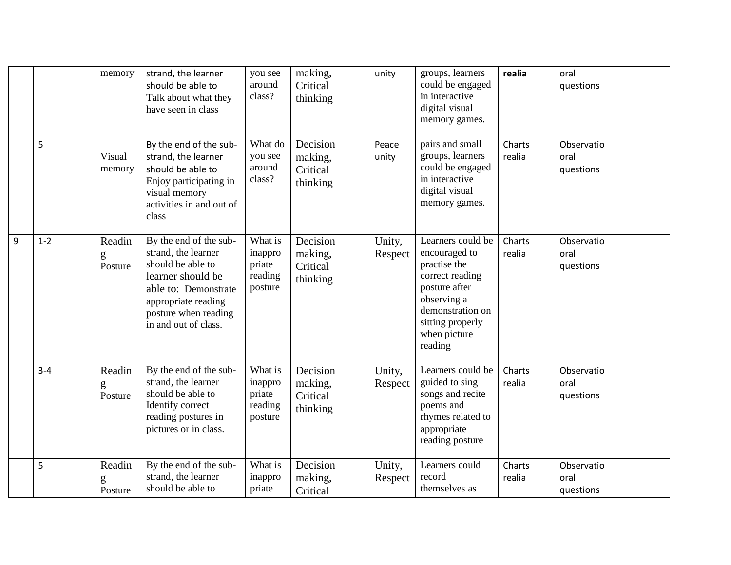|   |         | memory                 | strand, the learner<br>should be able to<br>Talk about what they<br>have seen in class                                                                                                 | you see<br>around<br>class?                        | making,<br>Critical<br>thinking             | unity             | groups, learners<br>could be engaged<br>in interactive<br>digital visual<br>memory games.                                                                                | realia           | oral<br>questions               |  |
|---|---------|------------------------|----------------------------------------------------------------------------------------------------------------------------------------------------------------------------------------|----------------------------------------------------|---------------------------------------------|-------------------|--------------------------------------------------------------------------------------------------------------------------------------------------------------------------|------------------|---------------------------------|--|
|   | 5       | Visual<br>memory       | By the end of the sub-<br>strand, the learner<br>should be able to<br>Enjoy participating in<br>visual memory<br>activities in and out of<br>class                                     | What do<br>you see<br>around<br>class?             | Decision<br>making,<br>Critical<br>thinking | Peace<br>unity    | pairs and small<br>groups, learners<br>could be engaged<br>in interactive<br>digital visual<br>memory games.                                                             | Charts<br>realia | Observatio<br>oral<br>questions |  |
| 9 | $1 - 2$ | Readin<br>g<br>Posture | By the end of the sub-<br>strand, the learner<br>should be able to<br>learner should be<br>able to: Demonstrate<br>appropriate reading<br>posture when reading<br>in and out of class. | What is<br>inappro<br>priate<br>reading<br>posture | Decision<br>making,<br>Critical<br>thinking | Unity,<br>Respect | Learners could be<br>encouraged to<br>practise the<br>correct reading<br>posture after<br>observing a<br>demonstration on<br>sitting properly<br>when picture<br>reading | Charts<br>realia | Observatio<br>oral<br>questions |  |
|   | $3 - 4$ | Readin<br>Posture      | By the end of the sub-<br>strand, the learner<br>should be able to<br>Identify correct<br>reading postures in<br>pictures or in class.                                                 | What is<br>inappro<br>priate<br>reading<br>posture | Decision<br>making,<br>Critical<br>thinking | Unity,<br>Respect | Learners could be<br>guided to sing<br>songs and recite<br>poems and<br>rhymes related to<br>appropriate<br>reading posture                                              | Charts<br>realia | Observatio<br>oral<br>questions |  |
|   | 5       | Readin<br>g<br>Posture | By the end of the sub-<br>strand, the learner<br>should be able to                                                                                                                     | What is<br>inappro<br>priate                       | Decision<br>making,<br>Critical             | Unity,<br>Respect | Learners could<br>record<br>themselves as                                                                                                                                | Charts<br>realia | Observatio<br>oral<br>questions |  |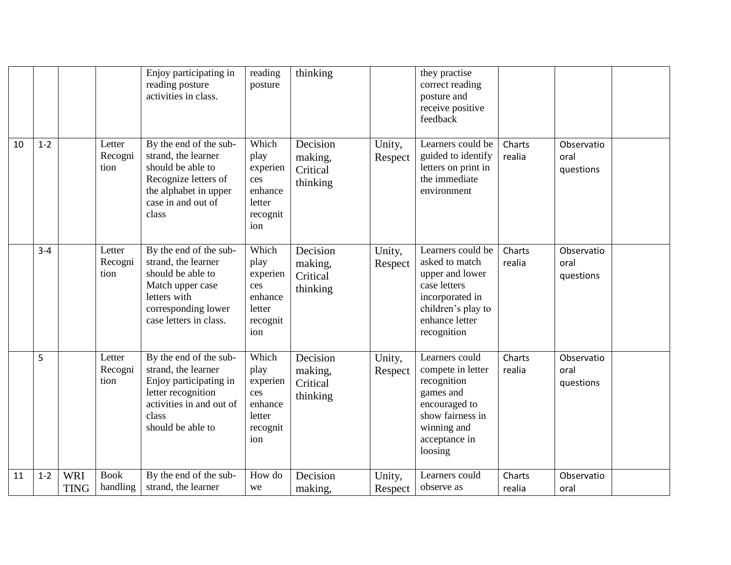|    |         |                           |                           | Enjoy participating in<br>reading posture<br>activities in class.                                                                                       | reading<br>posture                                                       | thinking                                    |                   | they practise<br>correct reading<br>posture and<br>receive positive<br>feedback                                                                  |                  |                                 |  |
|----|---------|---------------------------|---------------------------|---------------------------------------------------------------------------------------------------------------------------------------------------------|--------------------------------------------------------------------------|---------------------------------------------|-------------------|--------------------------------------------------------------------------------------------------------------------------------------------------|------------------|---------------------------------|--|
| 10 | $1 - 2$ |                           | Letter<br>Recogni<br>tion | By the end of the sub-<br>strand, the learner<br>should be able to<br>Recognize letters of<br>the alphabet in upper<br>case in and out of<br>class      | Which<br>play<br>experien<br>ces<br>enhance<br>letter<br>recognit<br>ion | Decision<br>making,<br>Critical<br>thinking | Unity,<br>Respect | Learners could be<br>guided to identify<br>letters on print in<br>the immediate<br>environment                                                   | Charts<br>realia | Observatio<br>oral<br>questions |  |
|    | $3 - 4$ |                           | Letter<br>Recogni<br>tion | By the end of the sub-<br>strand, the learner<br>should be able to<br>Match upper case<br>letters with<br>corresponding lower<br>case letters in class. | Which<br>play<br>experien<br>ces<br>enhance<br>letter<br>recognit<br>ion | Decision<br>making,<br>Critical<br>thinking | Unity,<br>Respect | Learners could be<br>asked to match<br>upper and lower<br>case letters<br>incorporated in<br>children's play to<br>enhance letter<br>recognition | Charts<br>realia | Observatio<br>oral<br>questions |  |
|    | 5       |                           | Letter<br>Recogni<br>tion | By the end of the sub-<br>strand, the learner<br>Enjoy participating in<br>letter recognition<br>activities in and out of<br>class<br>should be able to | Which<br>play<br>experien<br>ces<br>enhance<br>letter<br>recognit<br>ion | Decision<br>making,<br>Critical<br>thinking | Unity,<br>Respect | Learners could<br>compete in letter<br>recognition<br>games and<br>encouraged to<br>show fairness in<br>winning and<br>acceptance in<br>loosing  | Charts<br>realia | Observatio<br>oral<br>questions |  |
| 11 | $1 - 2$ | <b>WRI</b><br><b>TING</b> | <b>Book</b><br>handling   | By the end of the sub-<br>strand, the learner                                                                                                           | How do<br>we                                                             | Decision<br>making,                         | Unity,<br>Respect | Learners could<br>observe as                                                                                                                     | Charts<br>realia | Observatio<br>oral              |  |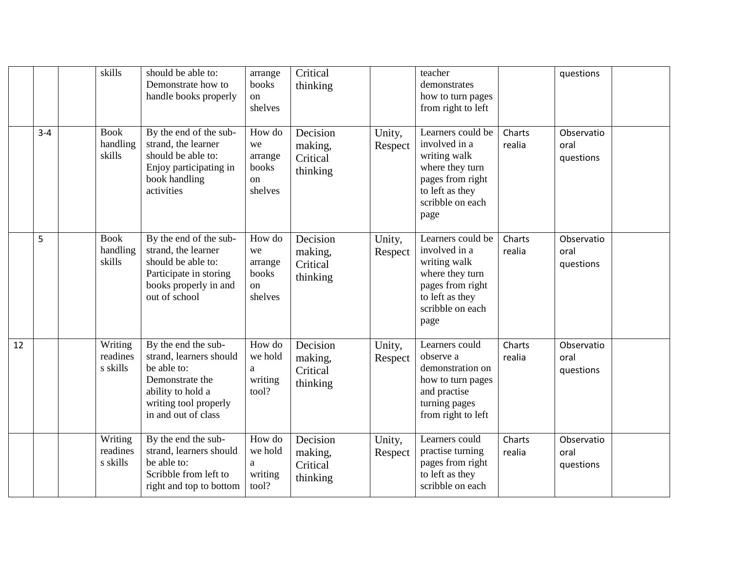|    |         | skills                            | should be able to:<br>Demonstrate how to<br>handle books properly                                                                                     | arrange<br>books<br>on<br>shelves                 | Critical<br>thinking                        |                   | teacher<br>demonstrates<br>how to turn pages<br>from right to left                                                                       |                  | questions                       |  |
|----|---------|-----------------------------------|-------------------------------------------------------------------------------------------------------------------------------------------------------|---------------------------------------------------|---------------------------------------------|-------------------|------------------------------------------------------------------------------------------------------------------------------------------|------------------|---------------------------------|--|
|    | $3 - 4$ | <b>Book</b><br>handling<br>skills | By the end of the sub-<br>strand, the learner<br>should be able to:<br>Enjoy participating in<br>book handling<br>activities                          | How do<br>we<br>arrange<br>books<br>on<br>shelves | Decision<br>making,<br>Critical<br>thinking | Unity,<br>Respect | Learners could be<br>involved in a<br>writing walk<br>where they turn<br>pages from right<br>to left as they<br>scribble on each<br>page | Charts<br>realia | Observatio<br>oral<br>questions |  |
|    | 5       | <b>Book</b><br>handling<br>skills | By the end of the sub-<br>strand, the learner<br>should be able to:<br>Participate in storing<br>books properly in and<br>out of school               | How do<br>we<br>arrange<br>books<br>on<br>shelves | Decision<br>making,<br>Critical<br>thinking | Unity,<br>Respect | Learners could be<br>involved in a<br>writing walk<br>where they turn<br>pages from right<br>to left as they<br>scribble on each<br>page | Charts<br>realia | Observatio<br>oral<br>questions |  |
| 12 |         | Writing<br>readines<br>s skills   | By the end the sub-<br>strand, learners should<br>be able to:<br>Demonstrate the<br>ability to hold a<br>writing tool properly<br>in and out of class | How do<br>we hold<br>a<br>writing<br>tool?        | Decision<br>making,<br>Critical<br>thinking | Unity,<br>Respect | Learners could<br>observe a<br>demonstration on<br>how to turn pages<br>and practise<br>turning pages<br>from right to left              | Charts<br>realia | Observatio<br>oral<br>questions |  |
|    |         | Writing<br>readines<br>s skills   | By the end the sub-<br>strand, learners should<br>be able to:<br>Scribble from left to<br>right and top to bottom                                     | How do<br>we hold<br>a<br>writing<br>tool?        | Decision<br>making,<br>Critical<br>thinking | Unity,<br>Respect | Learners could<br>practise turning<br>pages from right<br>to left as they<br>scribble on each                                            | Charts<br>realia | Observatio<br>oral<br>questions |  |